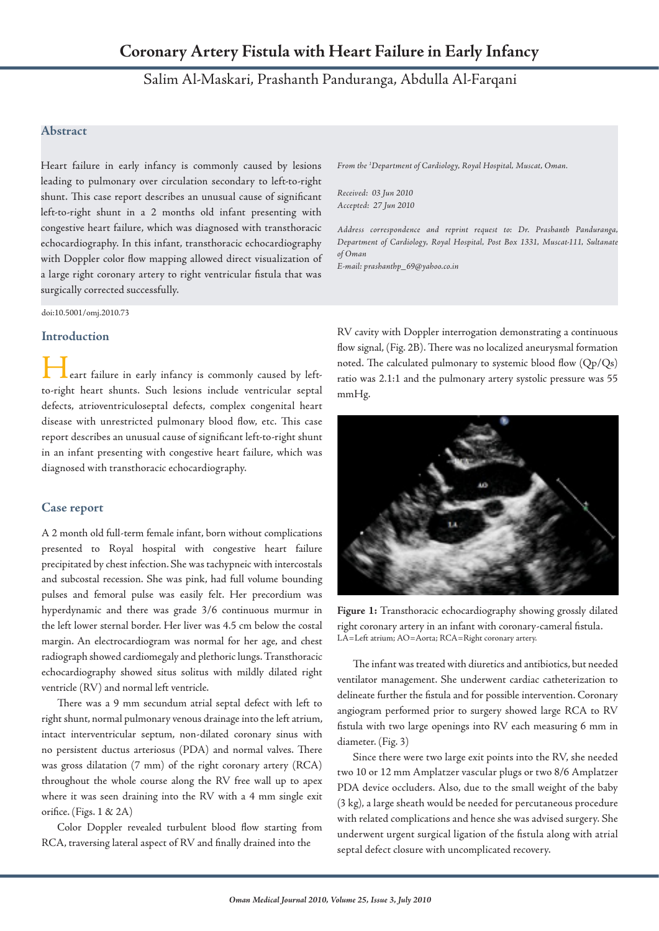# Salim Al-Maskari, Prashanth Panduranga, Abdulla Al-Farqani

## **Abstract**

Heart failure in early infancy is commonly caused by lesions leading to pulmonary over circulation secondary to left-to-right shunt. This case report describes an unusual cause of significant left-to-right shunt in a 2 months old infant presenting with congestive heart failure, which was diagnosed with transthoracic echocardiography. In this infant, transthoracic echocardiography with Doppler color flow mapping allowed direct visualization of a large right coronary artery to right ventricular fistula that was surgically corrected successfully.

doi:10.5001/omj.2010.73

#### **Introduction**

eart failure in early infancy is commonly caused by leftto-right heart shunts. Such lesions include ventricular septal defects, atrioventriculoseptal defects, complex congenital heart disease with unrestricted pulmonary blood flow, etc. This case report describes an unusual cause of significant left-to-right shunt in an infant presenting with congestive heart failure, which was diagnosed with transthoracic echocardiography.

### **Case report**

A 2 month old full-term female infant, born without complications presented to Royal hospital with congestive heart failure precipitated by chest infection. She was tachypneic with intercostals and subcostal recession. She was pink, had full volume bounding pulses and femoral pulse was easily felt. Her precordium was hyperdynamic and there was grade 3/6 continuous murmur in the left lower sternal border. Her liver was 4.5 cm below the costal margin. An electrocardiogram was normal for her age, and chest radiograph showed cardiomegaly and plethoric lungs. Transthoracic echocardiography showed situs solitus with mildly dilated right ventricle (RV) and normal left ventricle.

There was a 9 mm secundum atrial septal defect with left to right shunt, normal pulmonary venous drainage into the left atrium, intact interventricular septum, non-dilated coronary sinus with no persistent ductus arteriosus (PDA) and normal valves. There was gross dilatation (7 mm) of the right coronary artery (RCA) throughout the whole course along the RV free wall up to apex where it was seen draining into the RV with a 4 mm single exit orifice. (Figs. 1 & 2A)

Color Doppler revealed turbulent blood flow starting from RCA, traversing lateral aspect of RV and finally drained into the

*From the 1 Department of Cardiology, Royal Hospital, Muscat, Oman.*

*Received: 03 Jun 2010 Accepted: 27 Jun 2010*

*Address correspondence and reprint request to: Dr. Prashanth Panduranga, Department of Cardiology, Royal Hospital, Post Box 1331, Muscat-111, Sultanate of Oman*

*E-mail: prashanthp\_69@yahoo.co.in*

RV cavity with Doppler interrogation demonstrating a continuous flow signal, (Fig. 2B). There was no localized aneurysmal formation noted. The calculated pulmonary to systemic blood flow (Qp/Qs) ratio was 2.1:1 and the pulmonary artery systolic pressure was 55 mmHg.



**Figure 1:** Transthoracic echocardiography showing grossly dilated right coronary artery in an infant with coronary-cameral fistula. LA=Left atrium; AO=Aorta; RCA=Right coronary artery.

The infant was treated with diuretics and antibiotics, but needed ventilator management. She underwent cardiac catheterization to delineate further the fistula and for possible intervention. Coronary angiogram performed prior to surgery showed large RCA to RV fistula with two large openings into RV each measuring 6 mm in diameter. (Fig. 3)

Since there were two large exit points into the RV, she needed two 10 or 12 mm Amplatzer vascular plugs or two 8/6 Amplatzer PDA device occluders. Also, due to the small weight of the baby (3 kg), a large sheath would be needed for percutaneous procedure with related complications and hence she was advised surgery. She underwent urgent surgical ligation of the fistula along with atrial septal defect closure with uncomplicated recovery.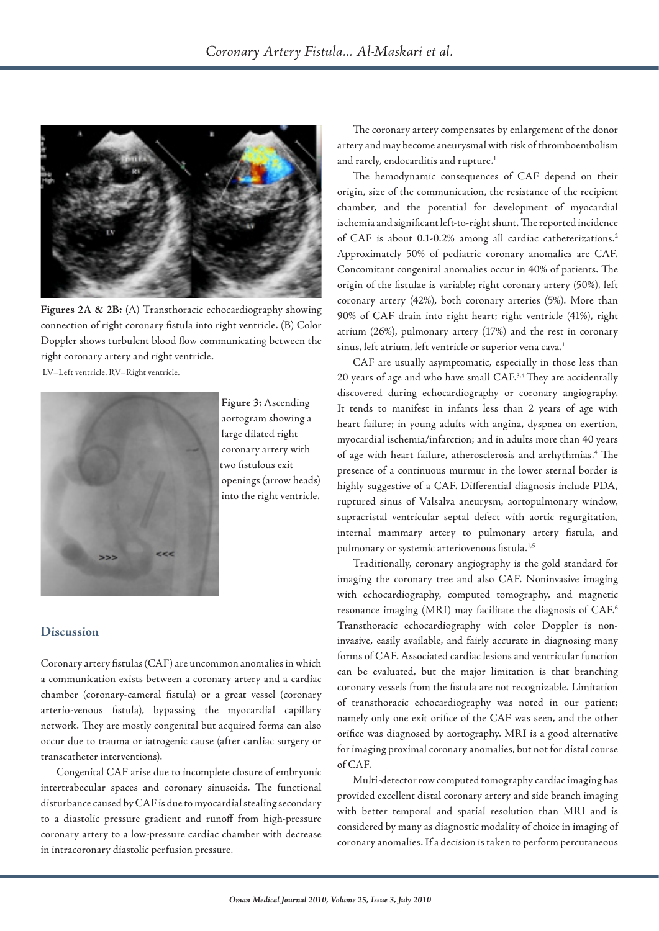

**Figures 2A & 2B:** (A) Transthoracic echocardiography showing connection of right coronary fistula into right ventricle. (B) Color Doppler shows turbulent blood flow communicating between the right coronary artery and right ventricle. LV=Left ventricle. RV=Right ventricle.



 **Figure 3:** Ascending aortogram showing a large dilated right coronary artery with two fistulous exit openings (arrow heads) into the right ventricle.

# **Discussion**

Coronary artery fistulas (CAF) are uncommon anomalies in which a communication exists between a coronary artery and a cardiac chamber (coronary-cameral fistula) or a great vessel (coronary arterio-venous fistula), bypassing the myocardial capillary network. They are mostly congenital but acquired forms can also occur due to trauma or iatrogenic cause (after cardiac surgery or transcatheter interventions).

Congenital CAF arise due to incomplete closure of embryonic intertrabecular spaces and coronary sinusoids. The functional disturbance caused by CAF is due to myocardial stealing secondary to a diastolic pressure gradient and runoff from high-pressure coronary artery to a low-pressure cardiac chamber with decrease in intracoronary diastolic perfusion pressure.

The coronary artery compensates by enlargement of the donor artery and may become aneurysmal with risk of thromboembolism and rarely, endocarditis and rupture.<sup>1</sup>

The hemodynamic consequences of CAF depend on their origin, size of the communication, the resistance of the recipient chamber, and the potential for development of myocardial ischemia and significant left-to-right shunt. The reported incidence of CAF is about 0.1-0.2% among all cardiac catheterizations.<sup>2</sup> Approximately 50% of pediatric coronary anomalies are CAF. Concomitant congenital anomalies occur in 40% of patients. The origin of the fistulae is variable; right coronary artery (50%), left coronary artery (42%), both coronary arteries (5%). More than 90% of CAF drain into right heart; right ventricle (41%), right atrium (26%), pulmonary artery (17%) and the rest in coronary sinus, left atrium, left ventricle or superior vena cava.<sup>1</sup>

CAF are usually asymptomatic, especially in those less than 20 years of age and who have small CAF.3,4 They are accidentally discovered during echocardiography or coronary angiography. It tends to manifest in infants less than 2 years of age with heart failure; in young adults with angina, dyspnea on exertion, myocardial ischemia/infarction; and in adults more than 40 years of age with heart failure, atherosclerosis and arrhythmias.<sup>4</sup> The presence of a continuous murmur in the lower sternal border is highly suggestive of a CAF. Differential diagnosis include PDA, ruptured sinus of Valsalva aneurysm, aortopulmonary window, supracristal ventricular septal defect with aortic regurgitation, internal mammary artery to pulmonary artery fistula, and pulmonary or systemic arteriovenous fistula.<sup>1,5</sup>

Traditionally, coronary angiography is the gold standard for imaging the coronary tree and also CAF. Noninvasive imaging with echocardiography, computed tomography, and magnetic resonance imaging (MRI) may facilitate the diagnosis of CAF.6 Transthoracic echocardiography with color Doppler is noninvasive, easily available, and fairly accurate in diagnosing many forms of CAF. Associated cardiac lesions and ventricular function can be evaluated, but the major limitation is that branching coronary vessels from the fistula are not recognizable. Limitation of transthoracic echocardiography was noted in our patient; namely only one exit orifice of the CAF was seen, and the other orifice was diagnosed by aortography. MRI is a good alternative for imaging proximal coronary anomalies, but not for distal course of CAF.

Multi-detector row computed tomography cardiac imaging has provided excellent distal coronary artery and side branch imaging with better temporal and spatial resolution than MRI and is considered by many as diagnostic modality of choice in imaging of coronary anomalies. If a decision is taken to perform percutaneous